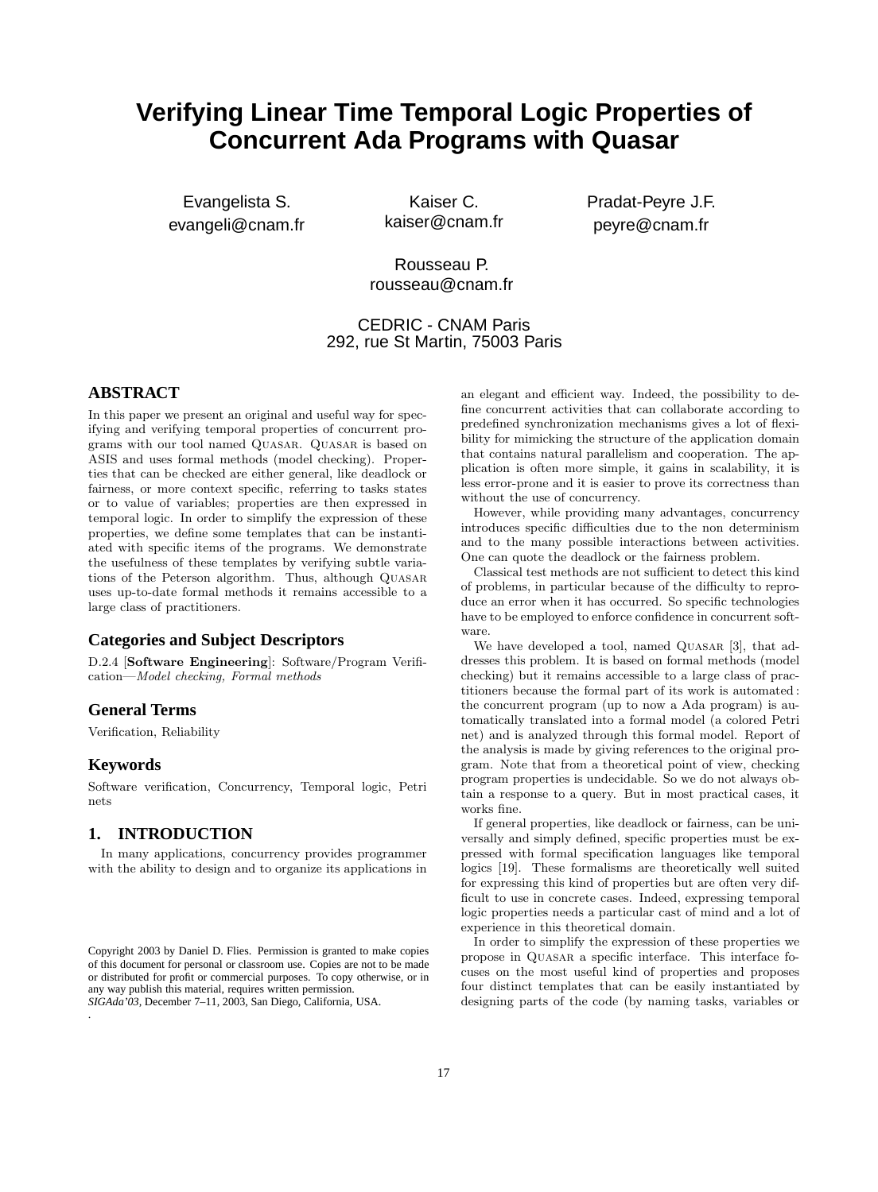# **Verifying Linear Time Temporal Logic Properties of Concurrent Ada Programs with Quasar**

Evangelista S. evangeli@cnam.fr

Kaiser C. kaiser@cnam.fr Pradat-Peyre J.F. peyre@cnam.fr

Rousseau P. rousseau@cnam.fr

CEDRIC - CNAM Paris 292, rue St Martin, 75003 Paris

# **ABSTRACT**

In this paper we present an original and useful way for specifying and verifying temporal properties of concurrent programs with our tool named Quasar. Quasar is based on ASIS and uses formal methods (model checking). Properties that can be checked are either general, like deadlock or fairness, or more context specific, referring to tasks states or to value of variables; properties are then expressed in temporal logic. In order to simplify the expression of these properties, we define some templates that can be instantiated with specific items of the programs. We demonstrate the usefulness of these templates by verifying subtle variations of the Peterson algorithm. Thus, although QUASAR uses up-to-date formal methods it remains accessible to a large class of practitioners.

### **Categories and Subject Descriptors**

D.2.4 [**Software Engineering**]: Software/Program Verification—*Model checking, Formal methods*

### **General Terms**

Verification, Reliability

# **Keywords**

Software verification, Concurrency, Temporal logic, Petri nets

### **1. INTRODUCTION**

In many applications, concurrency provides programmer with the ability to design and to organize its applications in

*SIGAda'03,* December 7–11, 2003, San Diego, California, USA. .

an elegant and efficient way. Indeed, the possibility to define concurrent activities that can collaborate according to predefined synchronization mechanisms gives a lot of flexibility for mimicking the structure of the application domain that contains natural parallelism and cooperation. The application is often more simple, it gains in scalability, it is less error-prone and it is easier to prove its correctness than without the use of concurrency.

However, while providing many advantages, concurrency introduces specific difficulties due to the non determinism and to the many possible interactions between activities. One can quote the deadlock or the fairness problem.

Classical test methods are not sufficient to detect this kind of problems, in particular because of the difficulty to reproduce an error when it has occurred. So specific technologies have to be employed to enforce confidence in concurrent software.

We have developed a tool, named QUASAR [3], that addresses this problem. It is based on formal methods (model checking) but it remains accessible to a large class of practitioners because the formal part of its work is automated : the concurrent program (up to now a Ada program) is automatically translated into a formal model (a colored Petri net) and is analyzed through this formal model. Report of the analysis is made by giving references to the original program. Note that from a theoretical point of view, checking program properties is undecidable. So we do not always obtain a response to a query. But in most practical cases, it works fine.

If general properties, like deadlock or fairness, can be universally and simply defined, specific properties must be expressed with formal specification languages like temporal logics [19]. These formalisms are theoretically well suited for expressing this kind of properties but are often very difficult to use in concrete cases. Indeed, expressing temporal logic properties needs a particular cast of mind and a lot of experience in this theoretical domain.

In order to simplify the expression of these properties we propose in Quasar a specific interface. This interface focuses on the most useful kind of properties and proposes four distinct templates that can be easily instantiated by designing parts of the code (by naming tasks, variables or

Copyright 2003 by Daniel D. Flies. Permission is granted to make copies of this document for personal or classroom use. Copies are not to be made or distributed for profit or commercial purposes. To copy otherwise, or in any way publish this material, requires written permission.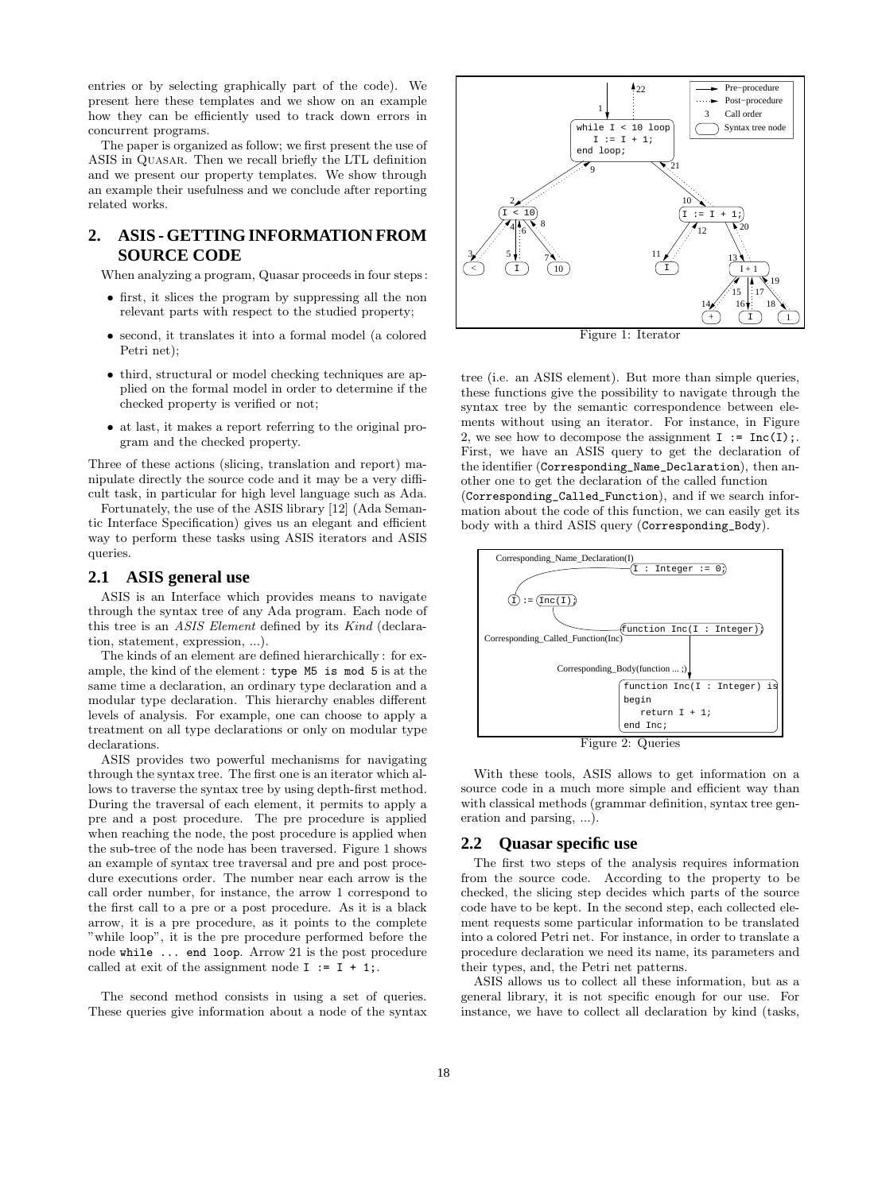entries or by selecting graphically part of the code). We present here these templates and we show on an example how they can be efficiently used to track down errors in concurrent programs.

The paper is organized as follow; we first present the use of ASIS in Quasar. Then we recall briefly the LTL definition and we present our property templates. We show through an example their usefulness and we conclude after reporting related works.

## **2. ASIS - GETTING INFORMATION FROM SOURCE CODE**

When analyzing a program, Quasar proceeds in four steps :

- first, it slices the program by suppressing all the non relevant parts with respect to the studied property;
- second, it translates it into a formal model (a colored Petri net);
- third, structural or model checking techniques are applied on the formal model in order to determine if the checked property is verified or not;
- at last, it makes a report referring to the original program and the checked property.

Three of these actions (slicing, translation and report) manipulate directly the source code and it may be a very difficult task, in particular for high level language such as Ada.

Fortunately, the use of the ASIS library [12] (Ada Semantic Interface Specification) gives us an elegant and efficient way to perform these tasks using ASIS iterators and ASIS queries.

### **2.1 ASIS general use**

ASIS is an Interface which provides means to navigate through the syntax tree of any Ada program. Each node of this tree is an *ASIS Element* defined by its *Kind* (declaration, statement, expression, ...).

The kinds of an element are defined hierarchically : for example, the kind of the element : type M5 is mod 5 is at the same time a declaration, an ordinary type declaration and a modular type declaration. This hierarchy enables different levels of analysis. For example, one can choose to apply a treatment on all type declarations or only on modular type declarations.

ASIS provides two powerful mechanisms for navigating through the syntax tree. The first one is an iterator which allows to traverse the syntax tree by using depth-first method. During the traversal of each element, it permits to apply a pre and a post procedure. The pre procedure is applied when reaching the node, the post procedure is applied when the sub-tree of the node has been traversed. Figure 1 shows an example of syntax tree traversal and pre and post procedure executions order. The number near each arrow is the call order number, for instance, the arrow 1 correspond to the first call to a pre or a post procedure. As it is a black arrow, it is a pre procedure, as it points to the complete "while loop", it is the pre procedure performed before the node while ... end loop. Arrow 21 is the post procedure called at exit of the assignment node  $I := I + 1$ ;

The second method consists in using a set of queries. These queries give information about a node of the syntax



Figure 1: Iterator

tree (i.e. an ASIS element). But more than simple queries, these functions give the possibility to navigate through the syntax tree by the semantic correspondence between elements without using an iterator. For instance, in Figure 2, we see how to decompose the assignment  $I := \text{Inc}(I);$ First, we have an ASIS query to get the declaration of the identifier (Corresponding\_Name\_Declaration), then another one to get the declaration of the called function (Corresponding\_Called\_Function), and if we search information about the code of this function, we can easily get its body with a third ASIS query (Corresponding\_Body).



Figure 2: Queries

With these tools, ASIS allows to get information on a source code in a much more simple and efficient way than with classical methods (grammar definition, syntax tree generation and parsing, ...).

### **2.2 Quasar specific use**

The first two steps of the analysis requires information from the source code. According to the property to be checked, the slicing step decides which parts of the source code have to be kept. In the second step, each collected element requests some particular information to be translated into a colored Petri net. For instance, in order to translate a procedure declaration we need its name, its parameters and their types, and, the Petri net patterns.

ASIS allows us to collect all these information, but as a general library, it is not specific enough for our use. For instance, we have to collect all declaration by kind (tasks,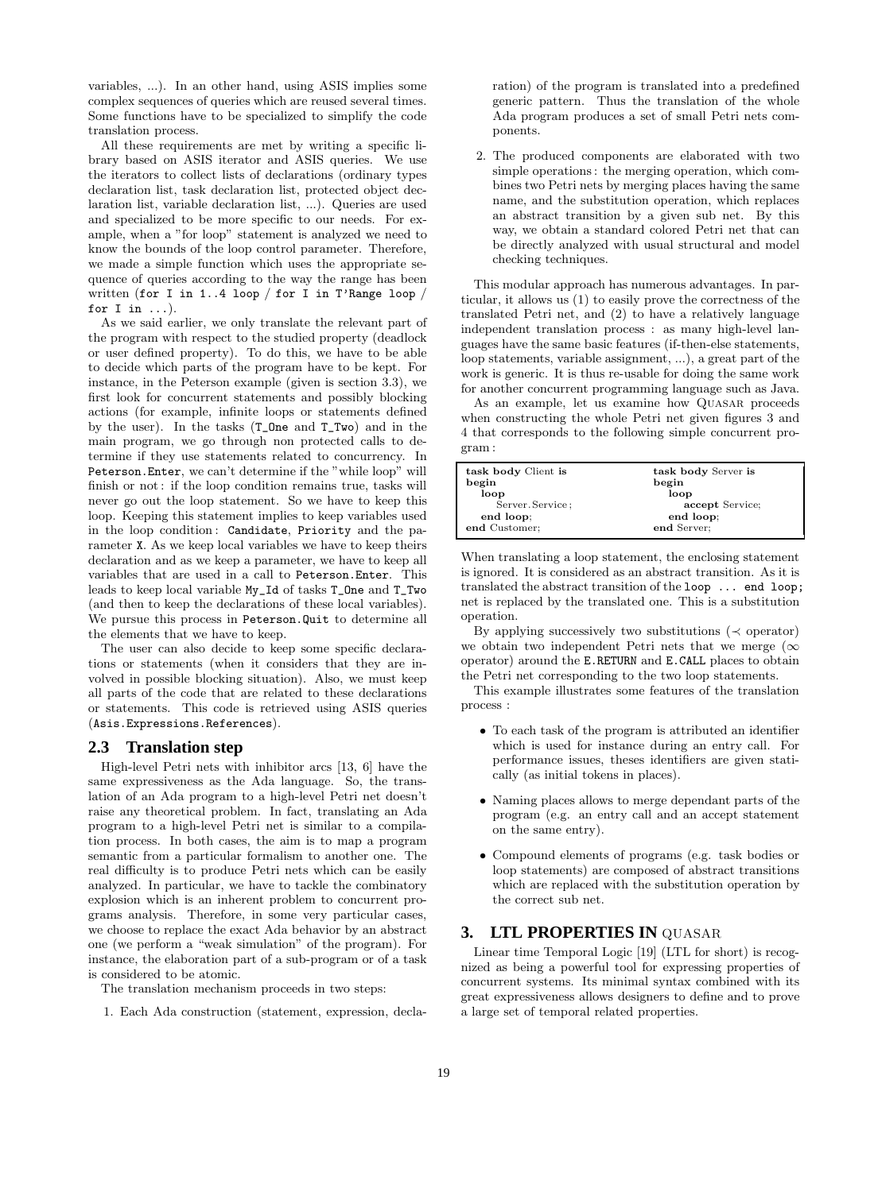variables, ...). In an other hand, using ASIS implies some complex sequences of queries which are reused several times. Some functions have to be specialized to simplify the code translation process.

All these requirements are met by writing a specific library based on ASIS iterator and ASIS queries. We use the iterators to collect lists of declarations (ordinary types declaration list, task declaration list, protected object declaration list, variable declaration list, ...). Queries are used and specialized to be more specific to our needs. For example, when a "for loop" statement is analyzed we need to know the bounds of the loop control parameter. Therefore, we made a simple function which uses the appropriate sequence of queries according to the way the range has been written (for I in 1..4 loop / for I in T'Range loop / for  $I$  in  $\ldots$ ).

As we said earlier, we only translate the relevant part of the program with respect to the studied property (deadlock or user defined property). To do this, we have to be able to decide which parts of the program have to be kept. For instance, in the Peterson example (given is section 3.3), we first look for concurrent statements and possibly blocking actions (for example, infinite loops or statements defined by the user). In the tasks (T\_One and T\_Two) and in the main program, we go through non protected calls to determine if they use statements related to concurrency. In Peterson.Enter, we can't determine if the "while loop" will finish or not: if the loop condition remains true, tasks will never go out the loop statement. So we have to keep this loop. Keeping this statement implies to keep variables used in the loop condition: Candidate, Priority and the parameter X. As we keep local variables we have to keep theirs declaration and as we keep a parameter, we have to keep all variables that are used in a call to Peterson.Enter. This leads to keep local variable My\_Id of tasks T\_One and T\_Two (and then to keep the declarations of these local variables). We pursue this process in Peterson.Quit to determine all the elements that we have to keep.

The user can also decide to keep some specific declarations or statements (when it considers that they are involved in possible blocking situation). Also, we must keep all parts of the code that are related to these declarations or statements. This code is retrieved using ASIS queries (Asis.Expressions.References).

### **2.3 Translation step**

High-level Petri nets with inhibitor arcs [13, 6] have the same expressiveness as the Ada language. So, the translation of an Ada program to a high-level Petri net doesn't raise any theoretical problem. In fact, translating an Ada program to a high-level Petri net is similar to a compilation process. In both cases, the aim is to map a program semantic from a particular formalism to another one. The real difficulty is to produce Petri nets which can be easily analyzed. In particular, we have to tackle the combinatory explosion which is an inherent problem to concurrent programs analysis. Therefore, in some very particular cases, we choose to replace the exact Ada behavior by an abstract one (we perform a "weak simulation" of the program). For instance, the elaboration part of a sub-program or of a task is considered to be atomic.

The translation mechanism proceeds in two steps:

1. Each Ada construction (statement, expression, decla-

ration) of the program is translated into a predefined generic pattern. Thus the translation of the whole Ada program produces a set of small Petri nets components.

2. The produced components are elaborated with two simple operations : the merging operation, which combines two Petri nets by merging places having the same name, and the substitution operation, which replaces an abstract transition by a given sub net. By this way, we obtain a standard colored Petri net that can be directly analyzed with usual structural and model checking techniques.

This modular approach has numerous advantages. In particular, it allows us (1) to easily prove the correctness of the translated Petri net, and (2) to have a relatively language independent translation process : as many high-level languages have the same basic features (if-then-else statements, loop statements, variable assignment, ...), a great part of the work is generic. It is thus re-usable for doing the same work for another concurrent programming language such as Java.

As an example, let us examine how QUASAR proceeds when constructing the whole Petri net given figures 3 and 4 that corresponds to the following simple concurrent program :

| task body Client is | task body Server is |
|---------------------|---------------------|
| begin               | begin               |
| loop                | loop                |
| Server. Service:    | accept Service;     |
| end loop;           | end loop:           |
| end Customer;       | end Server:         |
|                     |                     |

When translating a loop statement, the enclosing statement is ignored. It is considered as an abstract transition. As it is translated the abstract transition of the loop ... end loop; net is replaced by the translated one. This is a substitution operation.

By applying successively two substitutions ( $\prec$  operator) we obtain two independent Petri nets that we merge ( $\infty$ operator) around the E.RETURN and E.CALL places to obtain the Petri net corresponding to the two loop statements.

This example illustrates some features of the translation process :

- To each task of the program is attributed an identifier which is used for instance during an entry call. For performance issues, theses identifiers are given statically (as initial tokens in places).
- Naming places allows to merge dependant parts of the program (e.g. an entry call and an accept statement on the same entry).
- Compound elements of programs (e.g. task bodies or loop statements) are composed of abstract transitions which are replaced with the substitution operation by the correct sub net.

## **3. LTL PROPERTIES IN** QUASAR

Linear time Temporal Logic [19] (LTL for short) is recognized as being a powerful tool for expressing properties of concurrent systems. Its minimal syntax combined with its great expressiveness allows designers to define and to prove a large set of temporal related properties.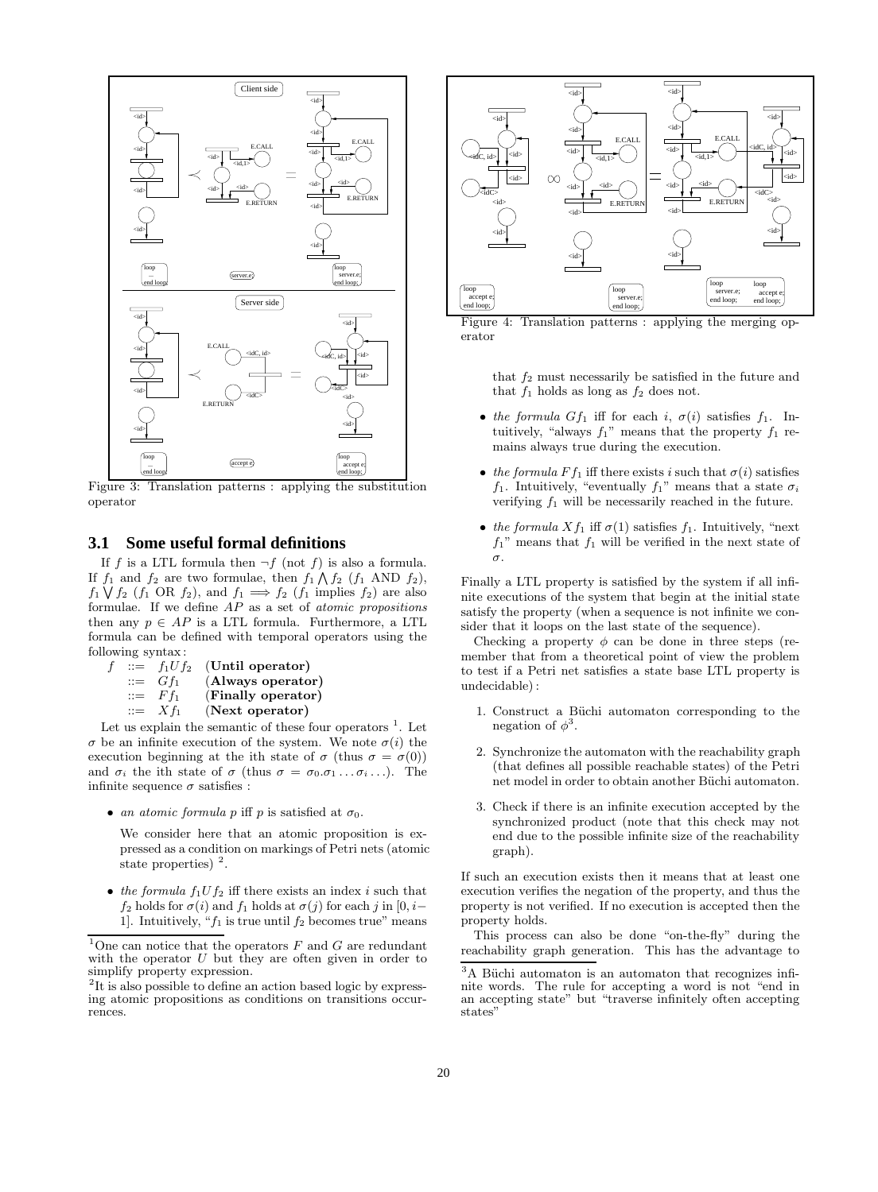

Figure 3: Translation patterns : applying the substitution operator

### **3.1 Some useful formal definitions**

If f is a LTL formula then  $\neg f$  (not f) is also a formula. If  $f_1$  and  $f_2$  are two formulae, then  $f_1 \wedge f_2$  ( $f_1$  AND  $f_2$ ),  $f_1 \bigvee f_2$  ( $f_1$  OR  $f_2$ ), and  $f_1 \Longrightarrow f_2$  ( $f_1$  implies  $f_2$ ) are also formulae. If we define AP as a set of *atomic propositions* then any  $p \in AP$  is a LTL formula. Furthermore, a LTL formula can be defined with temporal operators using the following syntax:

| f | $::=$ | $f_1Uf_2$                     | (Until operator)   |
|---|-------|-------------------------------|--------------------|
|   |       | $\mathrel{\mathop:}= G f_1$   | (Always operator)  |
|   |       | $\mathrel{\mathop:}=$ $F f_1$ | (Finally operator) |
|   |       | $\mathrel{\mathop:}= X f_1$   | (Next operator)    |
|   |       |                               |                    |

Let us explain the semantic of these four operators  $<sup>1</sup>$ . Let</sup>  $\sigma$  be an infinite execution of the system. We note  $\sigma(i)$  the execution beginning at the ith state of  $\sigma$  (thus  $\sigma = \sigma(0)$ ) and  $\sigma_i$  the ith state of  $\sigma$  (thus  $\sigma = \sigma_0 \ldots \sigma_i \ldots$ ). The infinite sequence  $\sigma$  satisfies :

• *an atomic formula* p iff p is satisfied at  $\sigma_0$ .

We consider here that an atomic proposition is expressed as a condition on markings of Petri nets (atomic state properties)  $^2$ .

• *the formula*  $f_1Uf_2$  iff there exists an index i such that  $f_2$  holds for  $\sigma(i)$  and  $f_1$  holds at  $\sigma(j)$  for each j in [0, i– 1]. Intuitively, " $f_1$  is true until  $f_2$  becomes true" means



Figure 4: Translation patterns : applying the merging operator

that  $f_2$  must necessarily be satisfied in the future and that  $f_1$  holds as long as  $f_2$  does not.

- *the formula*  $Gf_1$  iff for each i,  $\sigma(i)$  satisfies  $f_1$ . Intuitively, "always  $f_1$ " means that the property  $f_1$  remains always true during the execution.
- *the formula*  $F f_1$  iff there exists i such that  $\sigma(i)$  satisfies f<sub>1</sub>. Intuitively, "eventually f<sub>1</sub>" means that a state  $\sigma_i$ verifying  $f_1$  will be necessarily reached in the future.
- *the formula*  $X f_1$  iff  $\sigma(1)$  satisfies  $f_1$ . Intuitively, "next"  $f_1$ " means that  $f_1$  will be verified in the next state of σ.

Finally a LTL property is satisfied by the system if all infinite executions of the system that begin at the initial state satisfy the property (when a sequence is not infinite we consider that it loops on the last state of the sequence).

Checking a property  $\phi$  can be done in three steps (remember that from a theoretical point of view the problem to test if a Petri net satisfies a state base LTL property is undecidable) :

- 1. Construct a Büchi automaton corresponding to the negation of  $\phi^3$ .
- 2. Synchronize the automaton with the reachability graph (that defines all possible reachable states) of the Petri net model in order to obtain another Büchi automaton.
- 3. Check if there is an infinite execution accepted by the synchronized product (note that this check may not end due to the possible infinite size of the reachability graph).

If such an execution exists then it means that at least one execution verifies the negation of the property, and thus the property is not verified. If no execution is accepted then the property holds.

This process can also be done "on-the-fly" during the reachability graph generation. This has the advantage to

<sup>&</sup>lt;sup>1</sup>One can notice that the operators  $F$  and  $G$  are redundant with the operator  $U$  but they are often given in order to simplify property expression.

<sup>&</sup>lt;sup>2</sup>It is also possible to define an action based logic by expressing atomic propositions as conditions on transitions occurrences.

 $3A$  Büchi automaton is an automaton that recognizes infinite words. The rule for accepting a word is not "end in an accepting state" but "traverse infinitely often accepting states"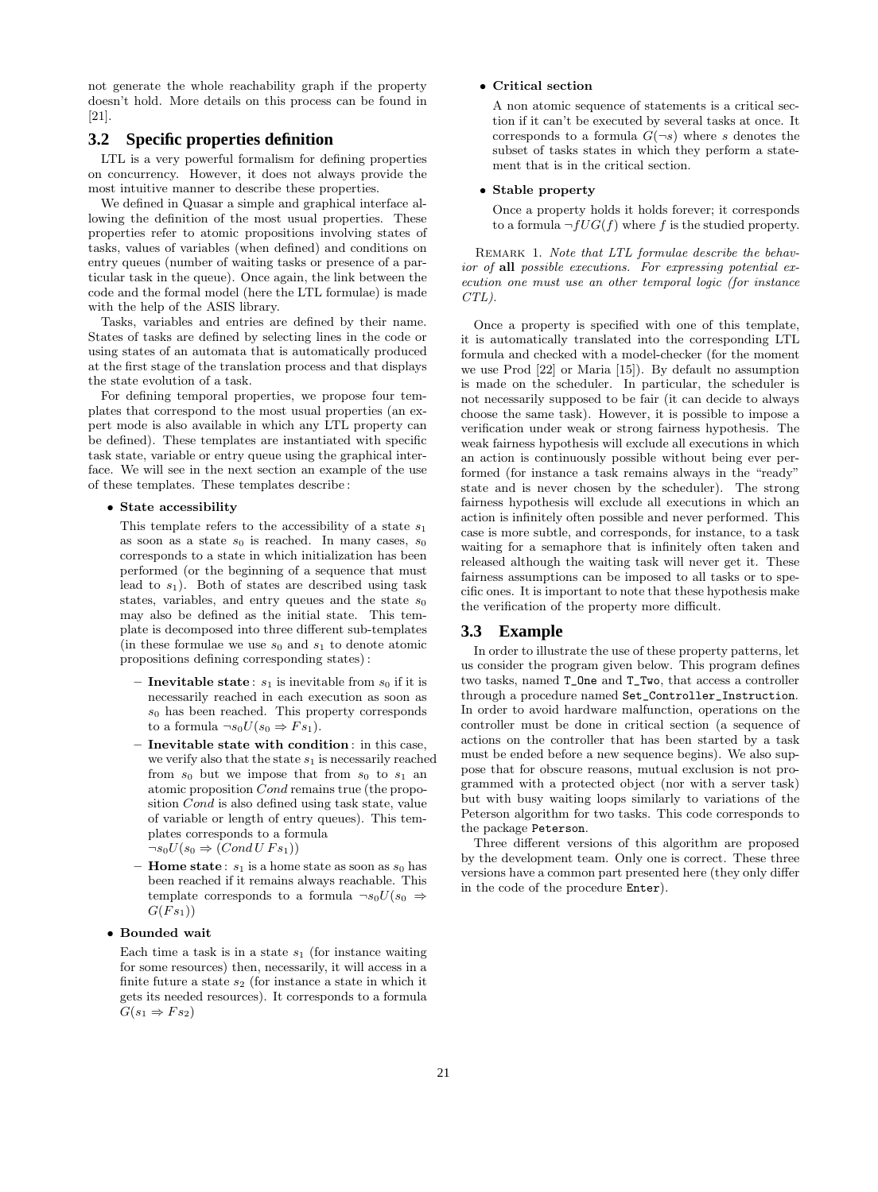not generate the whole reachability graph if the property doesn't hold. More details on this process can be found in [21].

### **3.2 Specific properties definition**

LTL is a very powerful formalism for defining properties on concurrency. However, it does not always provide the most intuitive manner to describe these properties.

We defined in Quasar a simple and graphical interface allowing the definition of the most usual properties. These properties refer to atomic propositions involving states of tasks, values of variables (when defined) and conditions on entry queues (number of waiting tasks or presence of a particular task in the queue). Once again, the link between the code and the formal model (here the LTL formulae) is made with the help of the ASIS library.

Tasks, variables and entries are defined by their name. States of tasks are defined by selecting lines in the code or using states of an automata that is automatically produced at the first stage of the translation process and that displays the state evolution of a task.

For defining temporal properties, we propose four templates that correspond to the most usual properties (an expert mode is also available in which any LTL property can be defined). These templates are instantiated with specific task state, variable or entry queue using the graphical interface. We will see in the next section an example of the use of these templates. These templates describe :

#### • **State accessibility**

This template refers to the accessibility of a state  $s_1$ as soon as a state  $s_0$  is reached. In many cases,  $s_0$ corresponds to a state in which initialization has been performed (or the beginning of a sequence that must lead to  $s_1$ ). Both of states are described using task states, variables, and entry queues and the state  $s_0$ may also be defined as the initial state. This template is decomposed into three different sub-templates (in these formulae we use  $s_0$  and  $s_1$  to denote atomic propositions defining corresponding states) :

- **Inevitable state**:  $s_1$  is inevitable from  $s_0$  if it is necessarily reached in each execution as soon as  $s_0$  has been reached. This property corresponds to a formula  $\neg s_0U(s_0 \Rightarrow Fs_1)$ .
- **Inevitable state with condition** : in this case, we verify also that the state  $s_1$  is necessarily reached from  $s_0$  but we impose that from  $s_0$  to  $s_1$  and atomic proposition Cond remains true (the proposition Cond is also defined using task state, value of variable or length of entry queues). This templates corresponds to a formula  $\neg s_0U(s_0 \Rightarrow (Cond\,UFs_1))$
- $-$  **Home state**:  $s_1$  is a home state as soon as  $s_0$  has been reached if it remains always reachable. This template corresponds to a formula  $\neg s_0U(s_0 \Rightarrow$  $G(Fs_1))$

#### • **Bounded wait**

Each time a task is in a state  $s_1$  (for instance waiting for some resources) then, necessarily, it will access in a finite future a state  $s_2$  (for instance a state in which it gets its needed resources). It corresponds to a formula  $G(s_1 \Rightarrow Fs_2)$ 

#### • **Critical section**

A non atomic sequence of statements is a critical section if it can't be executed by several tasks at once. It corresponds to a formula  $G(\neg s)$  where s denotes the subset of tasks states in which they perform a statement that is in the critical section.

#### • **Stable property**

Once a property holds it holds forever; it corresponds to a formula  $\neg fUG(f)$  where f is the studied property.

Remark 1. *Note that LTL formulae describe the behavior of* **all** *possible executions. For expressing potential execution one must use an other temporal logic (for instance CTL).*

Once a property is specified with one of this template, it is automatically translated into the corresponding LTL formula and checked with a model-checker (for the moment we use Prod [22] or Maria [15]). By default no assumption is made on the scheduler. In particular, the scheduler is not necessarily supposed to be fair (it can decide to always choose the same task). However, it is possible to impose a verification under weak or strong fairness hypothesis. The weak fairness hypothesis will exclude all executions in which an action is continuously possible without being ever performed (for instance a task remains always in the "ready" state and is never chosen by the scheduler). The strong fairness hypothesis will exclude all executions in which an action is infinitely often possible and never performed. This case is more subtle, and corresponds, for instance, to a task waiting for a semaphore that is infinitely often taken and released although the waiting task will never get it. These fairness assumptions can be imposed to all tasks or to specific ones. It is important to note that these hypothesis make the verification of the property more difficult.

# **3.3 Example**

In order to illustrate the use of these property patterns, let us consider the program given below. This program defines two tasks, named T\_One and T\_Two, that access a controller through a procedure named Set\_Controller\_Instruction. In order to avoid hardware malfunction, operations on the controller must be done in critical section (a sequence of actions on the controller that has been started by a task must be ended before a new sequence begins). We also suppose that for obscure reasons, mutual exclusion is not programmed with a protected object (nor with a server task) but with busy waiting loops similarly to variations of the Peterson algorithm for two tasks. This code corresponds to the package Peterson.

Three different versions of this algorithm are proposed by the development team. Only one is correct. These three versions have a common part presented here (they only differ in the code of the procedure Enter).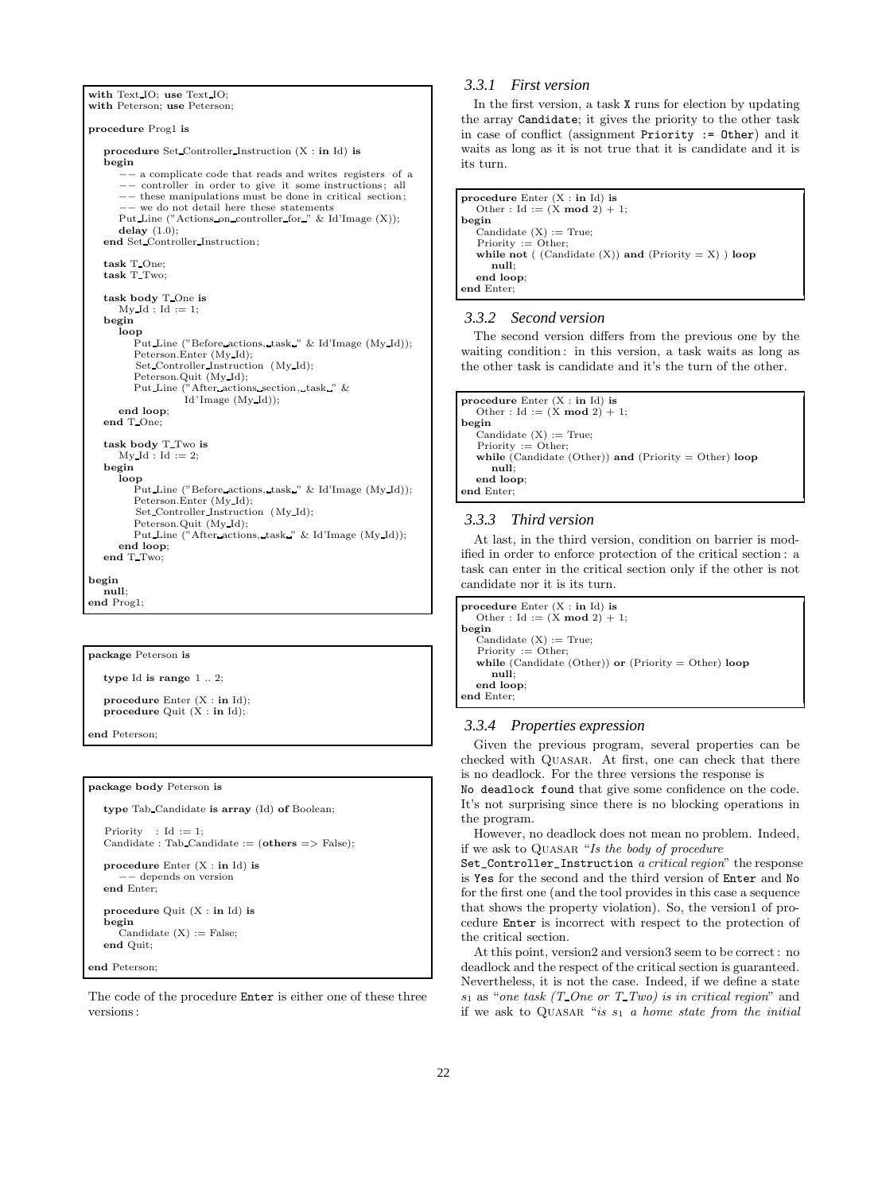```
with Text IO; use Text IO;
with Peterson; use Peterson;
procedure Prog1 is
  procedure Set Controller Instruction (X : in Id) is
  begin
        −− a complicate code that reads and writes registers of a
      −− controller in order to give it some instructions ; all
      −− these manipulations must be done in critical section ;
       −− we do not detail here these statements
     Put Line ("Actions on controller for " & Id'Image (X));
   delay (1.0);<br>
end Set Controller Instruction;
  task T One;
  task T Two;
  task body T One is
     MvId : Id := 1;
  begin
     loop
        Put Line ("Before actions, task " & Id'Image (My Id));
         Peterson.Enter (My Id);
         Set Controller Instruction (My Id);
         Peterson.Quit (My Id);
        Put Line ("After actions section, task " &
                  Id 'Image (My Id));
     end loop;
  end T One;
  task body T Two is
     My Id : Id := 2;begin
     loop
         Put Line ("Before actions, task " & Id'Image (My Id));
         Peterson.Enter (My Id);
         Set Controller Instruction (My Id);
         Peterson.Quit (My Id);
        Put Line ("After actions, task " & Id'Image (My Id));
      end loop;
  end T Two;
begin
  null;
```
**end** Prog1;

#### **package** Peterson **is**

**type** Id **is range** 1 .. 2;

**procedure** Enter (X : **in** Id); **procedure** Quit  $(X : \textbf{in} \text{Id})$ ;

**end** Peterson;

#### **package body** Peterson **is**

**type** Tab Candidate **is array** (Id) **of** Boolean;

```
Priority : Id := 1:
Candidate : Tab Candidate := (others => False);
```

```
procedure Enter (X : in Id) is
    −− depends on version
end Enter;
```

```
procedure Quit (X : in Id) is
begin
  Candidate (X) := False;
end Quit;
```
**end** Peterson;

The code of the procedure Enter is either one of these three versions :

### *3.3.1 First version*

In the first version, a task X runs for election by updating the array Candidate; it gives the priority to the other task in case of conflict (assignment Priority := Other) and it waits as long as it is not true that it is candidate and it is its turn.

```
procedure Enter (X : in Id) is
  Other : Id := (X \mod 2) + 1;
begin
  Candidate (X) := True;Priority := Other:
  while not ( (Candidate (X)) and (Priority = X) ) loop
     null;
  end loop;
end Enter;
```
#### *3.3.2 Second version*

The second version differs from the previous one by the waiting condition: in this version, a task waits as long as the other task is candidate and it's the turn of the other.

```
procedure Enter (X : in Id) is
  Other : Id := (X \mod 2) + 1;
begin
  Candidate (X) := True;Priority := Other;
  while (Candidate (Other)) and (Priority = Other) loop
     null;
  end loop;
end Enter;
```
#### *3.3.3 Third version*

At last, in the third version, condition on barrier is modified in order to enforce protection of the critical section : a task can enter in the critical section only if the other is not candidate nor it is its turn.

| procedure Enter $(X : in Id)$ is                     |
|------------------------------------------------------|
| Other : Id := $(X \mod 2) + 1$ ;                     |
| begin                                                |
| Candidate $(X) := True;$                             |
| $Priority := Other$                                  |
| while (Candidate (Other)) or (Priority = Other) loop |
| null:                                                |
| end loop:                                            |
| end Enter:                                           |
|                                                      |

#### *3.3.4 Properties expression*

Given the previous program, several properties can be checked with Quasar. At first, one can check that there is no deadlock. For the three versions the response is

No deadlock found that give some confidence on the code. It's not surprising since there is no blocking operations in the program.

However, no deadlock does not mean no problem. Indeed, if we ask to Quasar "*Is the body of procedure*

Set\_Controller\_Instruction *a critical region*" the response is Yes for the second and the third version of Enter and No for the first one (and the tool provides in this case a sequence that shows the property violation). So, the version1 of procedure Enter is incorrect with respect to the protection of the critical section.

At this point, version2 and version3 seem to be correct : no deadlock and the respect of the critical section is guaranteed. Nevertheless, it is not the case. Indeed, if we define a state s<sup>1</sup> as "*one task (T One or T Two) is in critical region*" and if we ask to QUASAR "*is*  $s_1$  *a home state from the initial*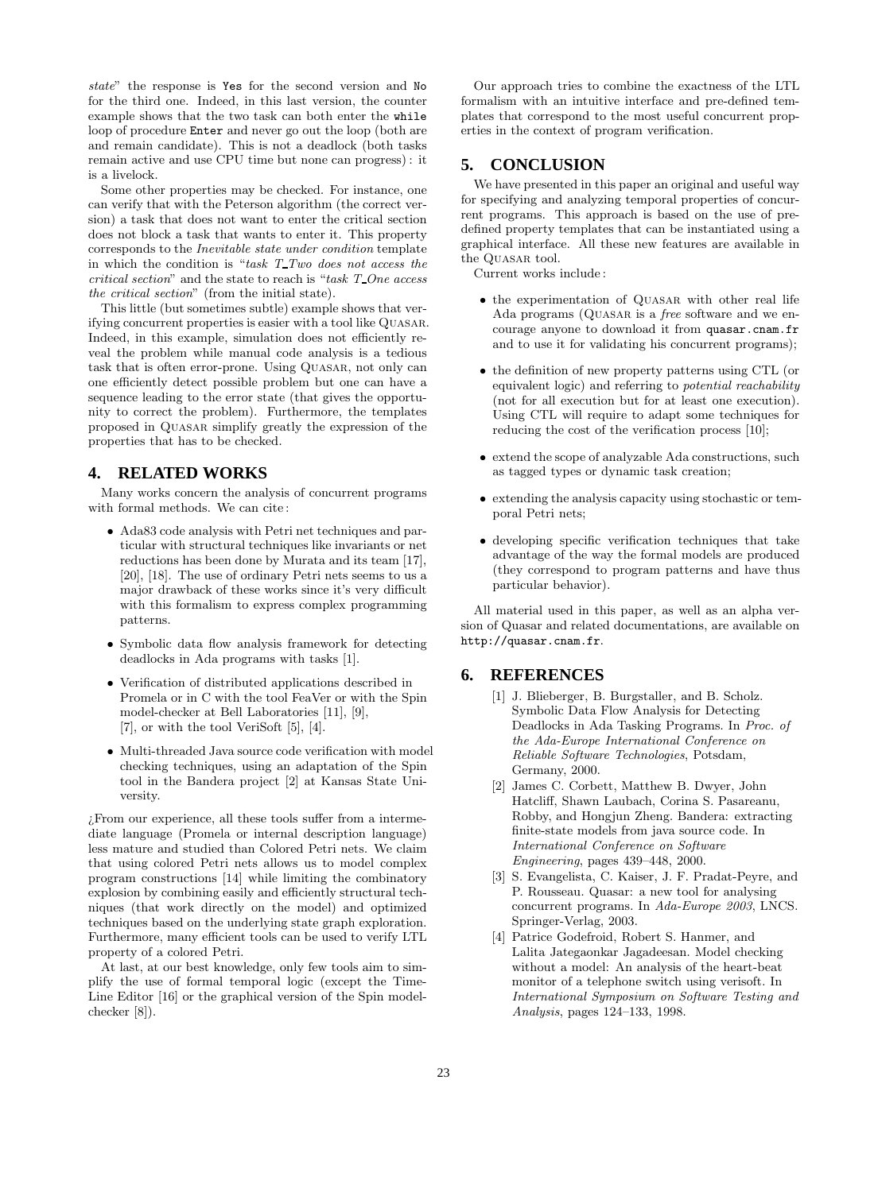*state*" the response is Yes for the second version and No for the third one. Indeed, in this last version, the counter example shows that the two task can both enter the while loop of procedure Enter and never go out the loop (both are and remain candidate). This is not a deadlock (both tasks remain active and use CPU time but none can progress) : it is a livelock.

Some other properties may be checked. For instance, one can verify that with the Peterson algorithm (the correct version) a task that does not want to enter the critical section does not block a task that wants to enter it. This property corresponds to the *Inevitable state under condition* template in which the condition is "*task T Two does not access the critical section*" and the state to reach is "*task T One access the critical section*" (from the initial state).

This little (but sometimes subtle) example shows that verifying concurrent properties is easier with a tool like QUASAR. Indeed, in this example, simulation does not efficiently reveal the problem while manual code analysis is a tedious task that is often error-prone. Using Quasar, not only can one efficiently detect possible problem but one can have a sequence leading to the error state (that gives the opportunity to correct the problem). Furthermore, the templates proposed in Quasar simplify greatly the expression of the properties that has to be checked.

# **4. RELATED WORKS**

Many works concern the analysis of concurrent programs with formal methods. We can cite :

- Ada83 code analysis with Petri net techniques and particular with structural techniques like invariants or net reductions has been done by Murata and its team [17], [20], [18]. The use of ordinary Petri nets seems to us a major drawback of these works since it's very difficult with this formalism to express complex programming patterns.
- Symbolic data flow analysis framework for detecting deadlocks in Ada programs with tasks [1].
- Verification of distributed applications described in Promela or in C with the tool FeaVer or with the Spin model-checker at Bell Laboratories [11], [9], [7], or with the tool VeriSoft [5], [4].
- Multi-threaded Java source code verification with model checking techniques, using an adaptation of the Spin tool in the Bandera project [2] at Kansas State University.

¿From our experience, all these tools suffer from a intermediate language (Promela or internal description language) less mature and studied than Colored Petri nets. We claim that using colored Petri nets allows us to model complex program constructions [14] while limiting the combinatory explosion by combining easily and efficiently structural techniques (that work directly on the model) and optimized techniques based on the underlying state graph exploration. Furthermore, many efficient tools can be used to verify LTL property of a colored Petri.

At last, at our best knowledge, only few tools aim to simplify the use of formal temporal logic (except the Time-Line Editor [16] or the graphical version of the Spin modelchecker [8]).

Our approach tries to combine the exactness of the LTL formalism with an intuitive interface and pre-defined templates that correspond to the most useful concurrent properties in the context of program verification.

# **5. CONCLUSION**

We have presented in this paper an original and useful way for specifying and analyzing temporal properties of concurrent programs. This approach is based on the use of predefined property templates that can be instantiated using a graphical interface. All these new features are available in the QUASAR tool.

Current works include :

- the experimentation of QUASAR with other real life Ada programs (Quasar is a *free* software and we encourage anyone to download it from quasar.cnam.fr and to use it for validating his concurrent programs);
- the definition of new property patterns using CTL (or equivalent logic) and referring to *potential reachability* (not for all execution but for at least one execution). Using CTL will require to adapt some techniques for reducing the cost of the verification process [10];
- extend the scope of analyzable Ada constructions, such as tagged types or dynamic task creation;
- extending the analysis capacity using stochastic or temporal Petri nets;
- developing specific verification techniques that take advantage of the way the formal models are produced (they correspond to program patterns and have thus particular behavior).

All material used in this paper, as well as an alpha version of Quasar and related documentations, are available on http://quasar.cnam.fr.

# **6. REFERENCES**

- [1] J. Blieberger, B. Burgstaller, and B. Scholz. Symbolic Data Flow Analysis for Detecting Deadlocks in Ada Tasking Programs. In *Proc. of the Ada-Europe International Conference on Reliable Software Technologies*, Potsdam, Germany, 2000.
- [2] James C. Corbett, Matthew B. Dwyer, John Hatcliff, Shawn Laubach, Corina S. Pasareanu, Robby, and Hongjun Zheng. Bandera: extracting finite-state models from java source code. In *International Conference on Software Engineering*, pages 439–448, 2000.
- [3] S. Evangelista, C. Kaiser, J. F. Pradat-Peyre, and P. Rousseau. Quasar: a new tool for analysing concurrent programs. In *Ada-Europe 2003*, LNCS. Springer-Verlag, 2003.
- [4] Patrice Godefroid, Robert S. Hanmer, and Lalita Jategaonkar Jagadeesan. Model checking without a model: An analysis of the heart-beat monitor of a telephone switch using verisoft. In *International Symposium on Software Testing and Analysis*, pages 124–133, 1998.